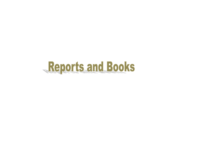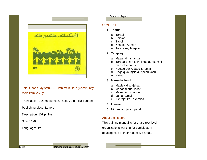

Title: Gaoon kay sath…….Hath mein Hath (Community mein kam kay liy)

Translator: Farzana Mumtaz, Ruqia Jafri, Fiza Taufeeq

Publishing place: Lahore

Description: 107 p; illus.

Size: 11x8.5

Language: Urdu

### Books and Reports

# **CONTENTS**

- 1. Taaruf
	- a. Taraqi
	- b. Shirkat
	- c. Tabdili
	- d. Khasosi Aamor
	- e. Taraqi key Maqasid
- 2. Tehqeeq
	- a. Masail ki nishandahi
	- b. Tareqa-e-kar ka intikhab aur kam ki mansoba bandi
	- c. Haqaiq aur Aidado Shumar
	- d. Haqaiq ka tajzia aur pesh kash
	- e. Nataij
- 3. Mansoba bandi
	- a. Masley ki Wajahat
	- b. Maqasid aur Hadaf
	- c. Masail ki nishandahi
	- d. Laiha Aamal
	- e. Akhrajat ka Takhmina
- 4. Inteezam
- 5. Nigrani aur janch parakh

# About the Report

This training manual is for grass-root level organizations working for participatory development in their respective areas.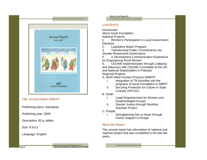

### Title: Annual Report 2006-07

Publishing place: Islamabad

Publishing year: 2009

Description: 82 p; tables

Size: 8.5x11

Language: English

#### Books and Reports

## **CONTENTS**

**Introduction** About Aurat Foundation

National Projects

1. Women's Participation in Local Government **Elections** 

2. Legislative Watch Program

3. Transforming Public Commitments into Gender-Responsive Governance

4. A Development Communication Experience for Empowering Rural Women

5. CEDAW Implementation through Lobbying and Advocacy with CEDAW Committee at the UN and National Stakeholders in Pakistan Regional Projects

A: North West Frontier Province (NWFP)

- I. Integration of TB Activities into the programs of Aurat Foundation in NWFP
- II. Securing Protection for Citizen in State Custody (SPCSC)
- B: Sindh
	- I. Legal Empowerment for Women and Disadvantaged Groups
	- II. Gender Justice through Muslihat Anjuman Project
- C: Punjab
	- I. Strengthening Dar-ul-Aman through Citizen Support in Punjab

## About the Report

This annual report has information of national and regional project that was completed in the last two years.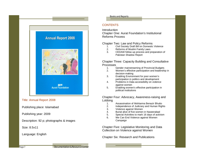

Title: Annual Report 2008

Publishing place: Islamabad

Publishing year: 2009

Description: 92 p; photographs & images

Size: 8.5x11

Language: English

#### Books and Reports

## **CONTENTS**

**Introduction** Chapter One: Aurat Foundation's Institutional Reforms Process

Chapter Two: Law and Policy Reforms<br>1. Civil Society Draft Bill on Domestic

- 1. Civil Society Draft Bill on Domestic Violence<br>2. Reforms of Muslim Family Laws
- Reforms of Muslim Family Laws
- 3. CEDAW follow-up process and preparation of Pakistan Shadow Report

Chapter Three: Capacity Building and Consultative Processes<br>1. (

- 1. Gender mainstreaming of Provincial Budgets<br>2. Women's effective participation and leadership
- 2. Women's effective participation and leadership in decision-making
- 3. Enabling Environment for poor women's participation in politics and development
- 4. Problems in Data accessibility on violence against women
- 5. Enabling women's effective participation in political institutions

Chapter Four: Advocacy, Awareness-raising and Lobbing  $\frac{1}{1}$ 

- Assassination of Mohtarma Benazir Bhutto
- 2. Independence of Judiciary and Human Rights
- 3. Violence against Women
- 4. Burial alive of five women in Naseerabad
- 5. Special Activities to mark 16 days of activism
- 6. We Can End Violence against Women Campaign

Chapter Five: Legislative Monitoring and Data Collection on Violence against Women

Chapter Six: Research and Publications

Page 7 **Documentation & Resource Center**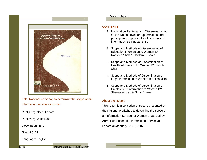

Title: National workshop to determine the scope of an information service for women

Publishing place: Lahore

Publishing year: 1988

Description: 45 p

Size: 8.5x11

Language: English

#### Books and Reports

### **CONTENTS**

- 1. Information Retrieval and Dissemination at Grass-Roots Level: group formation and participatory approach for effective use of information BY Kausar S. K.
- 2. Scope and Methods of dissemination of Education Information to Women BY Nasreen Shah & Neelam Hussain
- 3. Scope and Methods of Dissemination of Health Information for Women BY Farida Sher
- 4. Scope and Methods of Dissemination of Legal Information to Women BY Hina Jilani
- 5. Scope and Methods of Dissemination of Employment Information to Women BY Shenaz Ahmad & Nigar Ahmad

### About the Report

This report is a collection of papers presented at the National Workshop to determine the scope of an Information Service for Women organized by Aurat Publication and Information Service at Lahore on January 22-23, 1987.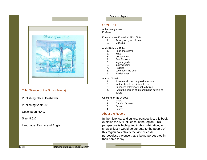

## Title: Silence of the Birds (Poetry)

Publishing place: Peshawar

Publishing year: 2010

Description: 60 p.

Size: 8.5x7

Language: Pashto and English

#### Books and Reports

## **CONTENTS**

Acknowledgement Preface

Khushal Khan Khattak (1613-1689)

- Aurang-A Hymn of Hate
- 2. Miracles

Abdul Rahman Baba

- 1. Passionate love<br>2. Jihad
- 2. Jihad<br>3. Conte
- **Contentment**
- 4. Sow Flowers
- 5. In your garden
- 6. In my dreams<br>7. Religion
- 7. Religion<br>8. Love ope
- Love open the door
- 9. Foolish ones

#### Ahmad Ali Sain

- 1. A justice without the passion of love<br>2. Neither belief nor disbelief has
- Neither belief nor disbelief has
- 3. Prisoners of lover are actually free
- 4. I wish the garden of life should be devoid of others

Ghani Khan (1914-1996)

- 1. Music<br>2 On Or
- On, On, Onwards
- 3. Sawal
- 4. Search

# About the Report

In the historical and cultural perspective, this book explains the Sufi influence in the region. This perspective is highlighted in this publication, to show unjust it would be attribute to the people of this region collectively the kind of crude purposeless violence that is being perpetrated in their name today.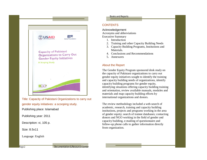

Title: Capacity of Pakistani Organizations to carry out gender equity initiatives: a scooping study. Publishing place: Islamabad

Publishing year: 2011

Description: vi, 105 p.

Size: 8.5x11

Language: English

#### Books and Reports

## **CONTENTS**

Acknowledgement Acronyms and abbreviations Executive Summary

- 1. Introduction
- 2. Training and other Capacity Building Needs
- 3. Capacity Building Programs, Institutions and Materials.
- 4. Conclusions and Recommendations
- 5. Annexures

## About the Report

The Gender Equity Program sponsored desk study on the capacity of Pakistani organizations to carry out gender equity initiatives sought to identify the training and capacity building needs of organizations, identify capacity building programs for gender equity, identifying situations offering capacity building training and orientation, review available manuals, modules and materials and map capacity building efforts by international organizations and donors.

The review methodology included a web-search of academic, research, training and capacity building institutions, projects and programs working in the area of gender equity; search of trainee databases; contacting donors and NGO working in the field of gender and capacity building, e-mailing of questionnaire and follow-up phone calls to gather information directly from organization.